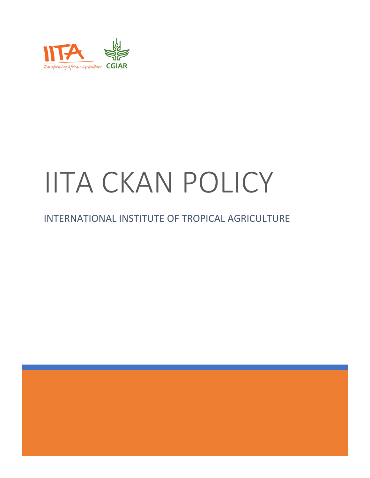

# IITA CKAN POLICY

## INTERNATIONAL INSTITUTE OF TROPICAL AGRICULTURE

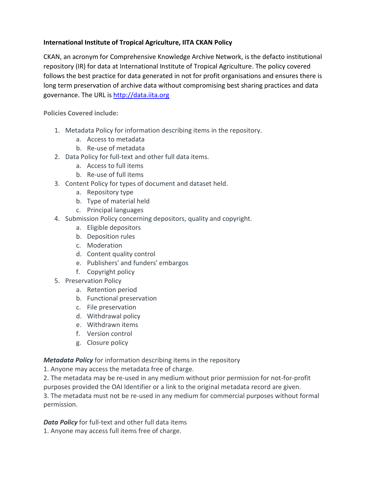#### **International Institute of Tropical Agriculture, IITA CKAN Policy**

CKAN, an acronym for Comprehensive Knowledge Archive Network, is the defacto institutional repository (IR) for data at International Institute of Tropical Agriculture. The policy covered follows the best practice for data generated in not for profit organisations and ensures there is long term preservation of archive data without compromising best sharing practices and data governance. The URL i[s http://data.iita.org](http://data.iita.org/)

**Policies Covered include:**

- 1. Metadata Policy for information describing items in the repository.
	- a. Access to metadata
	- b. Re-use of metadata
- 2. Data Policy for full-text and other full data items.
	- a. Access to full items
	- b. Re-use of full items
- 3. Content Policy for types of document and dataset held.
	- a. Repository type
	- b. Type of material held
	- c. Principal languages
- 4. Submission Policy concerning depositors, quality and copyright.
	- a. Eligible depositors
	- b. Deposition rules
	- c. Moderation
	- d. Content quality control
	- e. Publishers' and funders' embargos
	- f. Copyright policy
- 5. Preservation Policy
	- a. Retention period
	- b. Functional preservation
	- c. File preservation
	- d. Withdrawal policy
	- e. Withdrawn items
	- f. Version control
	- g. Closure policy

*Metadata Policy* for information describing items in the repository

1. Anyone may access the metadata free of charge.

2. The metadata may be re-used in any medium without prior permission for not-for-profit

purposes provided the OAI Identifier or a link to the original metadata record are given. 3. The metadata must not be re-used in any medium for commercial purposes without formal permission.

*Data Policy* for full-text and other full data items 1. Anyone may access full items free of charge.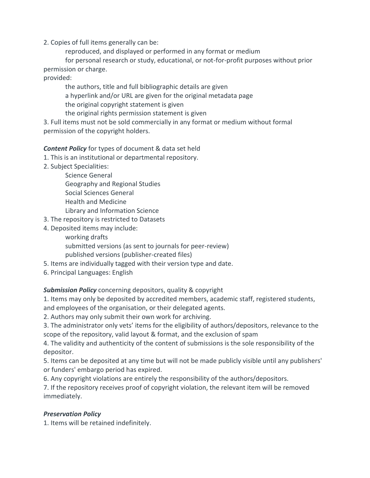2. Copies of full items generally can be:

reproduced, and displayed or performed in any format or medium

for personal research or study, educational, or not-for-profit purposes without prior permission or charge.

provided:

the authors, title and full bibliographic details are given a hyperlink and/or URL are given for the original metadata page the original copyright statement is given the original rights permission statement is given

3. Full items must not be sold commercially in any format or medium without formal permission of the copyright holders.

### *Content Policy* for types of document & data set held

- 1. This is an institutional or departmental repository.
- 2. Subject Specialities:
	- Science General
	- Geography and Regional Studies
	- Social Sciences General
	- Health and Medicine

Library and Information Science

- 3. The repository is restricted to Datasets
- 4. Deposited items may include:
	- working drafts
	- submitted versions (as sent to journals for peer-review) published versions (publisher-created files)
- 5. Items are individually tagged with their version type and date.
- 6. Principal Languages: English

### *Submission Policy* concerning depositors, quality & copyright

1. Items may only be deposited by accredited members, academic staff, registered students, and employees of the organisation, or their delegated agents.

2. Authors may only submit their own work for archiving.

3. The administrator only vets' items for the eligibility of authors/depositors, relevance to the scope of the repository, valid layout & format, and the exclusion of spam

4. The validity and authenticity of the content of submissions is the sole responsibility of the depositor.

5. Items can be deposited at any time but will not be made publicly visible until any publishers' or funders' embargo period has expired.

6. Any copyright violations are entirely the responsibility of the authors/depositors.

7. If the repository receives proof of copyright violation, the relevant item will be removed immediately.

#### *Preservation Policy*

1. Items will be retained indefinitely.